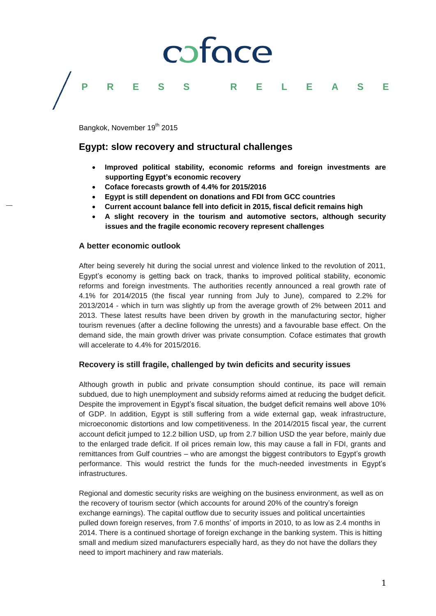# coface

### Bangkok, November 19<sup>th</sup> 2015

### **Egypt: slow recovery and structural challenges**

 **Improved political stability, economic reforms and foreign investments are supporting Egypt's economic recovery** 

**PRESS R E L E A S E**

- **Coface forecasts growth of 4.4% for 2015/2016**
- **Egypt is still dependent on donations and FDI from GCC countries**
- **Current account balance fell into deficit in 2015, fiscal deficit remains high**
- **A slight recovery in the tourism and automotive sectors, although security issues and the fragile economic recovery represent challenges**

#### **A better economic outlook**

After being severely hit during the social unrest and violence linked to the revolution of 2011, Egypt's economy is getting back on track, thanks to improved political stability, economic reforms and foreign investments. The authorities recently announced a real growth rate of 4.1% for 2014/2015 (the fiscal year running from July to June), compared to 2.2% for 2013/2014 - which in turn was slightly up from the average growth of 2% between 2011 and 2013. These latest results have been driven by growth in the manufacturing sector, higher tourism revenues (after a decline following the unrests) and a favourable base effect. On the demand side, the main growth driver was private consumption. Coface estimates that growth will accelerate to 4.4% for 2015/2016.

#### **Recovery is still fragile, challenged by twin deficits and security issues**

Although growth in public and private consumption should continue, its pace will remain subdued, due to high unemployment and subsidy reforms aimed at reducing the budget deficit. Despite the improvement in Egypt's fiscal situation, the budget deficit remains well above 10% of GDP. In addition, Egypt is still suffering from a wide external gap, weak infrastructure, microeconomic distortions and low competitiveness. In the 2014/2015 fiscal year, the current account deficit jumped to 12.2 billion USD, up from 2.7 billion USD the year before, mainly due to the enlarged trade deficit. If oil prices remain low, this may cause a fall in FDI, grants and remittances from Gulf countries – who are amongst the biggest contributors to Egypt's growth performance. This would restrict the funds for the much-needed investments in Egypt's infrastructures.

Regional and domestic security risks are weighing on the business environment, as well as on the recovery of tourism sector (which accounts for around 20% of the country's foreign exchange earnings). The capital outflow due to security issues and political uncertainties pulled down foreign reserves, from 7.6 months' of imports in 2010, to as low as 2.4 months in 2014. There is a continued shortage of foreign exchange in the banking system. This is hitting small and medium sized manufacturers especially hard, as they do not have the dollars they need to import machinery and raw materials.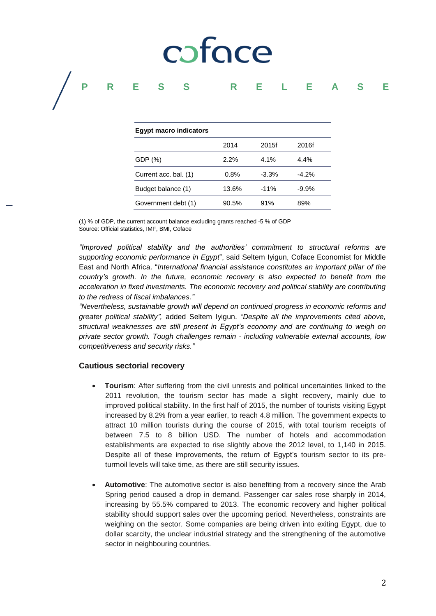# coface

### **PRESS R E L E A S E**

| <b>Egypt macro indicators</b> |       |         |         |
|-------------------------------|-------|---------|---------|
|                               | 2014  | 2015f   | 2016f   |
| GDP (%)                       | 2.2%  | $4.1\%$ | 4.4%    |
| Current acc. bal. (1)         | 0.8%  | $-3.3%$ | $-4.2%$ |
| Budget balance (1)            | 13.6% | $-11%$  | $-9.9%$ |
| Government debt (1)           | 90.5% | 91%     | 89%     |

(1) % of GDP, the current account balance excluding grants reached -5 % of GDP Source: Official statistics, IMF, BMI, Coface

*"Improved political stability and the authorities' commitment to structural reforms are supporting economic performance in Egypt*", said Seltem Iyigun, Coface Economist for Middle East and North Africa. "*International financial assistance constitutes an important pillar of the country's growth. In the future, economic recovery is also expected to benefit from the acceleration in fixed investments. The economic recovery and political stability are contributing to the redress of fiscal imbalances."* 

*"Nevertheless, sustainable growth will depend on continued progress in economic reforms and greater political stability",* added Seltem Iyigun. *"Despite all the improvements cited above, structural weaknesses are still present in Egypt's economy and are continuing to weigh on private sector growth. Tough challenges remain - including vulnerable external accounts, low competitiveness and security risks."*

#### **Cautious sectorial recovery**

- **Tourism**: After suffering from the civil unrests and political uncertainties linked to the 2011 revolution, the tourism sector has made a slight recovery, mainly due to improved political stability. In the first half of 2015, the number of tourists visiting Egypt increased by 8.2% from a year earlier, to reach 4.8 million. The government expects to attract 10 million tourists during the course of 2015, with total tourism receipts of between 7.5 to 8 billion USD. The number of hotels and accommodation establishments are expected to rise slightly above the 2012 level, to 1,140 in 2015. Despite all of these improvements, the return of Egypt's tourism sector to its preturmoil levels will take time, as there are still security issues.
- **Automotive**: The automotive sector is also benefiting from a recovery since the Arab Spring period caused a drop in demand. Passenger car sales rose sharply in 2014, increasing by 55.5% compared to 2013. The economic recovery and higher political stability should support sales over the upcoming period. Nevertheless, constraints are weighing on the sector. Some companies are being driven into exiting Egypt, due to dollar scarcity, the unclear industrial strategy and the strengthening of the automotive sector in neighbouring countries.